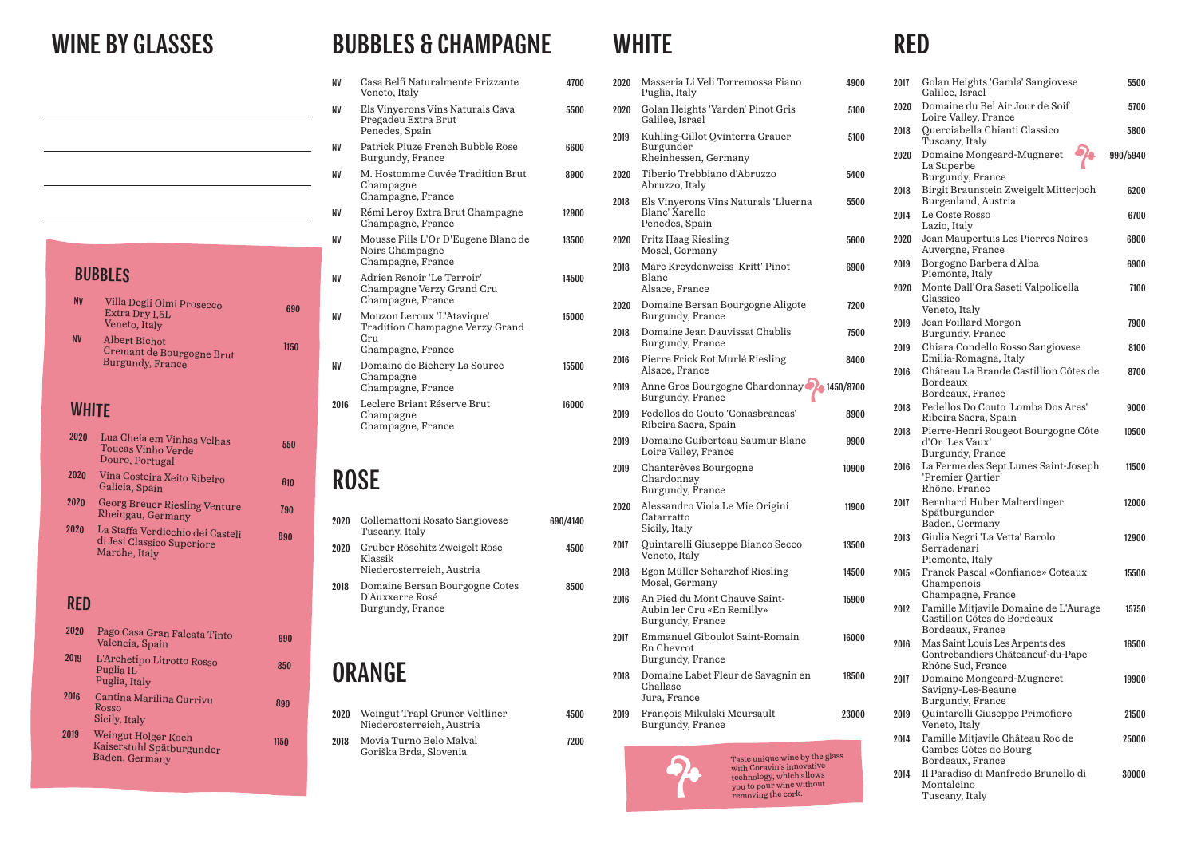#### BUBBLES

| <b>NV</b> | Villa Degli Olmi Prosecco<br>Extra Dry 1,5L<br>Veneto, Italy                 | 690  |
|-----------|------------------------------------------------------------------------------|------|
| <b>NV</b> | <b>Albert Bichot</b><br>Cremant de Bourgogne Brut<br><b>Burgundy, France</b> | 1150 |

#### **WHITE**

#### RED

| 2020 | Pago Casa Gran Falcata Tinto<br>Valencia, Spain                      | 690  |
|------|----------------------------------------------------------------------|------|
| 2019 | L'Archetipo Litrotto Rosso<br>Puglia <sub>1</sub> L<br>Puglia, Italy | 850  |
| 2016 | Cantina Marilina Currivu<br>Rosso<br>Sicily, Italy                   | 890  |
| 2019 | Weingut Holger Koch<br>Kaiserstuhl Spätburgunder<br>Baden, Germany   | 1150 |

#### BUBBLES & CHAMPAGNE WHITE RED

| 2020 | Masseria Li Veli Torremossa Fiano<br>Puglia, Italy                                                      | 4900  | 2017 | Golan Heights 'Gamla' Sangiovese<br>Galilee, Israel                                       | 5500     |
|------|---------------------------------------------------------------------------------------------------------|-------|------|-------------------------------------------------------------------------------------------|----------|
| 2020 | Golan Heights 'Yarden' Pinot Gris<br>Galilee, Israel                                                    | 5100  | 2020 | Domaine du Bel Air Jour de Soif<br>Loire Valley, France                                   | 5700     |
| 2019 | Kuhling-Gillot Qvinterra Grauer<br>Burgunder                                                            | 5100  | 2018 | Querciabella Chianti Classico<br>Tuscany, Italy                                           | 5800     |
|      | Rheinhessen, Germany                                                                                    |       | 2020 | Domaine Mongeard-Mugneret<br>La Superbe                                                   | 990/5940 |
| 2020 | Tiberio Trebbiano d'Abruzzo<br>Abruzzo, Italy                                                           | 5400  | 2018 | Burgundy, France<br>Birgit Braunstein Zweigelt Mitterjoch                                 | 6200     |
| 2018 | Els Vinyerons Vins Naturals 'Lluerna<br>Blanc' Xarello                                                  | 5500  | 2014 | Burgenland, Austria<br>Le Coste Rosso                                                     | 6700     |
| 2020 | Penedes, Spain<br>Fritz Haag Riesling                                                                   | 5600  | 2020 | Lazio, Italy<br>Jean Maupertuis Les Pierres Noires                                        | 6800     |
|      | Mosel, Germany                                                                                          |       |      | Auvergne, France                                                                          |          |
| 2018 | Marc Kreydenweiss 'Kritt' Pinot<br>Blanc                                                                | 6900  | 2019 | Borgogno Barbera d'Alba<br>Piemonte, Italy                                                | 6900     |
| 2020 | Alsace, France<br>Domaine Bersan Bourgogne Aligote                                                      | 7200  | 2020 | Monte Dall'Ora Saseti Valpolicella<br>Classico                                            | 7100     |
|      | Burgundy, France                                                                                        |       | 2019 | Veneto, Italy<br>Jean Foillard Morgon                                                     | 7900     |
| 2018 | Domaine Jean Dauvissat Chablis<br>Burgundy, France                                                      | 7500  |      | Burgundy, France                                                                          |          |
| 2016 | Pierre Frick Rot Murlé Riesling                                                                         | 8400  | 2019 | Chiara Condello Rosso Sangiovese<br>Emilia-Romagna, Italy                                 | 8100     |
| 2019 | Alsace, France<br>Anne Gros Bourgogne Chardonnay 2 1450/8700                                            |       | 2016 | Château La Brande Castillion Côtes de<br>Bordeaux                                         | 8700     |
|      | Burgundy, France                                                                                        |       | 2018 | Bordeaux, France<br>Fedellos Do Couto 'Lomba Dos Ares'                                    | 9000     |
| 2019 | Fedellos do Couto 'Conasbrancas'<br>Ribeira Sacra, Spain                                                | 8900  |      | Ribeira Sacra, Spain                                                                      |          |
| 2019 | Domaine Guiberteau Saumur Blanc<br>Loire Valley, France                                                 | 9900  | 2018 | Pierre-Henri Rougeot Bourgogne Côte<br>d'Or 'Les Vaux'<br>Burgundy, France                | 10500    |
| 2019 | Chanterêves Bourgogne<br>Chardonnay<br>Burgundy, France                                                 | 10900 | 2016 | La Ferme des Sept Lunes Saint-Joseph<br>'Premier Qartier'<br>Rhône, France                | 11500    |
| 2020 | Alessandro Viola Le Mie Origini<br>Catarratto<br>Sicily, Italy                                          | 11900 | 2017 | Bernhard Huber Malterdinger<br>Spätburgunder<br>Baden, Germany                            | 12000    |
| 2017 | Quintarelli Giuseppe Bianco Secco<br>Veneto, Italy                                                      | 13500 | 2013 | Giulia Negri 'La Vetta' Barolo<br>Serradenari<br>Piemonte, Italy                          | 12900    |
| 2018 | Egon Müller Scharzhof Riesling<br>Mosel, Germany                                                        | 14500 | 2015 | Franck Pascal «Confiance» Coteaux                                                         | 15500    |
| 2016 | An Pied du Mont Chauve Saint-                                                                           | 15900 |      | Champenois<br>Champagne, France                                                           |          |
|      | Aubin 1er Cru «En Remilly»<br>Burgundy, France                                                          |       | 2012 | Famille Mitjavile Domaine de L'Aurage<br>Castillon Côtes de Bordeaux<br>Bordeaux, France  | 15750    |
| 2017 | Emmanuel Giboulot Saint-Romain<br>En Chevrot<br>Burgundy, France                                        | 16000 | 2016 | Mas Saint Louis Les Arpents des<br>Contrebandiers Châteaneuf-du-Pape<br>Rhône Sud, France | 16500    |
| 2018 | Domaine Labet Fleur de Savagnin en<br>Challase<br>Jura, France                                          | 18500 | 2017 | Domaine Mongeard-Mugneret<br>Savigny-Les-Beaune<br>Burgundy, France                       | 19900    |
| 2019 | François Mikulski Meursault<br>Burgundy, France                                                         | 23000 | 2019 | Quintarelli Giuseppe Primofiore<br>Veneto, Italy                                          | 21500    |
|      | Taste unique wine by the glass                                                                          |       | 2014 | Famille Mitjavile Château Roc de<br>Cambes Còtes de Bourg<br>Bordeaux, France             | 25000    |
|      | with Coravin's innovative<br>technology, which allows<br>you to pour wine without<br>removing the cork. |       | 2014 | Il Paradiso di Manfredo Brunello di<br>Montalcino<br>Tuscany, Italy                       | 30000    |

| 2020 | Lua Cheia em Vinhas Velhas<br><b>Toucas Vinho Verde</b><br>Douro, Portugal      | 550 |
|------|---------------------------------------------------------------------------------|-----|
| 2020 | Vina Costeira Xeito Ribeiro<br>Galicia, Spain                                   | 610 |
| 2020 | <b>Georg Breuer Riesling Venture</b><br>Rheingau, Germany                       | 790 |
| 2020 | La Staffa Verdicchio dei Casteli<br>di Jesi Classico Superiore<br>Marche, Italy | 890 |

## WINE BY GLASSES

| <b>NV</b> | Casa Belfi Naturalmente Frizzante<br>Veneto, Italy                                        | 4700     |
|-----------|-------------------------------------------------------------------------------------------|----------|
| NV        | Els Vinyerons Vins Naturals Cava<br>Pregadeu Extra Brut<br>Penedes, Spain                 | 5500     |
| NV        | Patrick Piuze French Bubble Rose<br>Burgundy, France                                      | 6600     |
| ΝV        | M. Hostomme Cuvée Tradition Brut<br>Champagne<br>Champagne, France                        | 8900     |
| NV        | Rémi Leroy Extra Brut Champagne<br>Champagne, France                                      | 12900    |
| <b>NV</b> | Mousse Fills L'Or D'Eugene Blanc de<br>Noirs Champagne<br>Champagne, France               | 13500    |
| NV        | Adrien Renoir 'Le Terroir'<br>Champagne Verzy Grand Cru<br>Champagne, France              | 14500    |
| ΝV        | Mouzon Leroux 'L'Atavique'<br>Tradition Champagne Verzy Grand<br>Cru<br>Champagne, France | 15000    |
| NV        | Domaine de Bichery La Source<br>Champagne<br>Champagne, France                            | 15500    |
| 2016      | Leclerc Briant Réserve Brut<br>Champagne<br>Champagne, France                             | 16000    |
|           | <b>ROSE</b>                                                                               |          |
| 2020      | Collemattoni Rosato Sangiovese<br>Tuscany, Italy                                          | 690/4140 |
| 2020      | Gruber Röschitz Zweigelt Rose                                                             | 4500     |

| 2020        | Weingut Trapl Gruner Veltliner<br>Niederosterreich, Austria |  |
|-------------|-------------------------------------------------------------|--|
| <b>2018</b> | Movia Turno Relo Malval                                     |  |

4500

2018 Movia Turno Belo Malval Goriška Brda, Slovenia

7200

Klassik Niederosterreich, Austria 2018 Domaine Bersan Bourgogne Cotes D'Auxxerre Rosé Burgundy, France 8500

## **ORANGE**